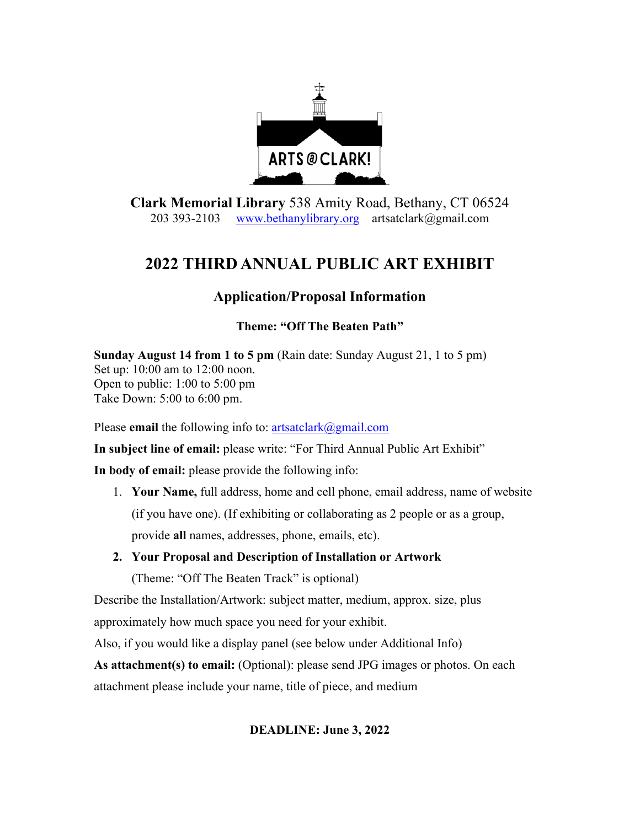

**Clark Memorial Library** 538 Amity Road, Bethany, CT 06524 203 393-2103 www.bethanylibrary.org artsatclark@gmail.com

## **2022 THIRD ANNUAL PUBLIC ART EXHIBIT**

## **Application/Proposal Information**

## **Theme: "Off The Beaten Path"**

**Sunday August 14 from 1 to 5 pm** (Rain date: Sunday August 21, 1 to 5 pm) Set up: 10:00 am to 12:00 noon. Open to public: 1:00 to 5:00 pm Take Down: 5:00 to 6:00 pm.

Please **email** the following info to: artsatclark@gmail.com

**In subject line of email:** please write: "For Third Annual Public Art Exhibit"

**In body of email:** please provide the following info:

- 1. **Your Name,** full address, home and cell phone, email address, name of website (if you have one). (If exhibiting or collaborating as 2 people or as a group, provide **all** names, addresses, phone, emails, etc).
- **2. Your Proposal and Description of Installation or Artwork**

(Theme: "Off The Beaten Track" is optional)

Describe the Installation/Artwork: subject matter, medium, approx. size, plus

approximately how much space you need for your exhibit.

Also, if you would like a display panel (see below under Additional Info)

**As attachment(s) to email:** (Optional): please send JPG images or photos. On each attachment please include your name, title of piece, and medium

## **DEADLINE: June 3, 2022**